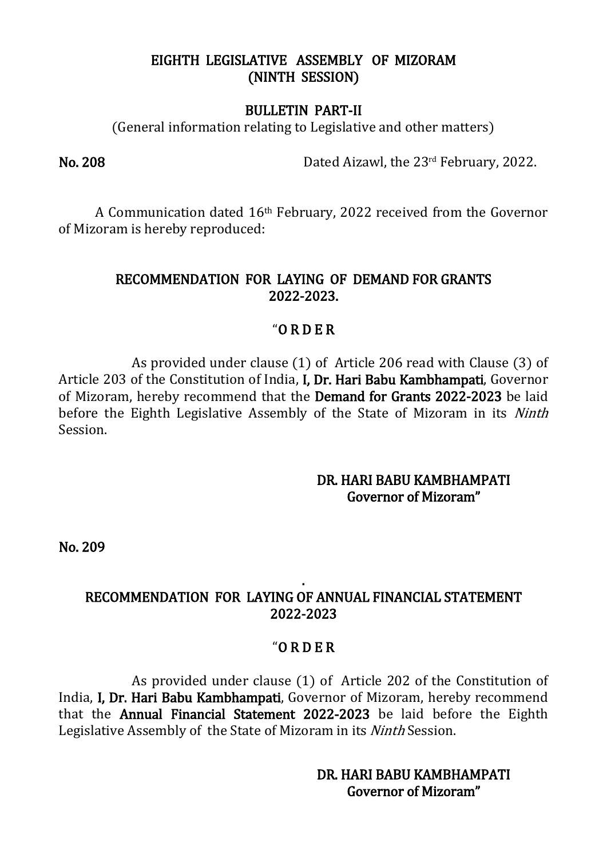## EIGHTH LEGISLATIVE ASSEMBLY OF MIZORAM (NINTH SESSION)

#### BULLETIN PART-II

(General information relating to Legislative and other matters)

No. 208 Dated Aizawl, the 23rd February, 2022.

 A Communication dated 16th February, 2022 received from the Governor of Mizoram is hereby reproduced:

# RECOMMENDATION FOR LAYING OF DEMAND FOR GRANTS 2022-2023.

# "O R D E R

As provided under clause (1) of Article 206 read with Clause (3) of Article 203 of the Constitution of India, I, Dr. Hari Babu Kambhampati, Governor of Mizoram, hereby recommend that the Demand for Grants 2022-2023 be laid before the Eighth Legislative Assembly of the State of Mizoram in its Ninth Session.

# DR. HARI BABU KAMBHAMPATI Governor of Mizoram"

No. 209

## . RECOMMENDATION FOR LAYING OF ANNUAL FINANCIAL STATEMENT 2022-2023

## "O R D E R

As provided under clause (1) of Article 202 of the Constitution of India, I, Dr. Hari Babu Kambhampati, Governor of Mizoram, hereby recommend that the Annual Financial Statement 2022-2023 be laid before the Eighth Legislative Assembly of the State of Mizoram in its Ninth Session.

> DR. HARI BABU KAMBHAMPATI Governor of Mizoram"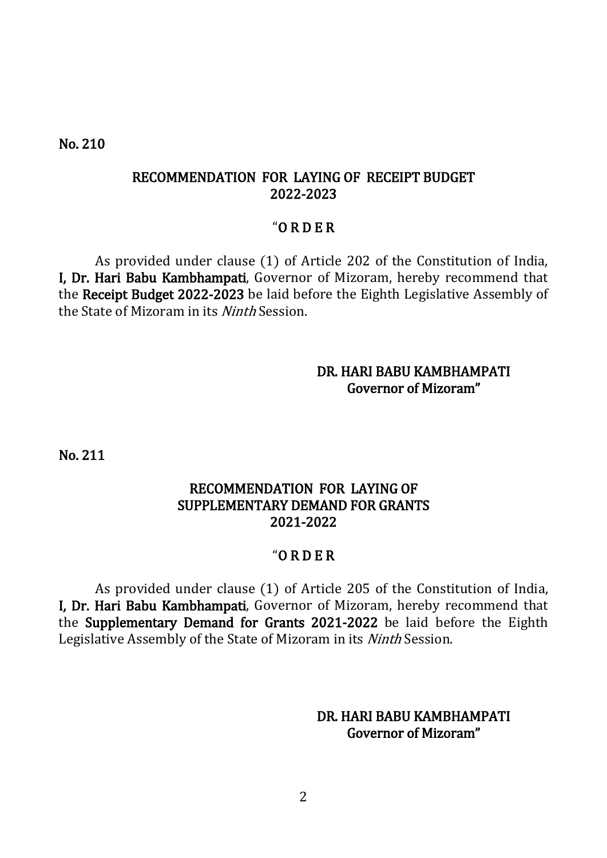No. 210

## RECOMMENDATION FOR LAYING OF RECEIPT BUDGET 2022-2023

#### "O R D E R

As provided under clause (1) of Article 202 of the Constitution of India, I, Dr. Hari Babu Kambhampati, Governor of Mizoram, hereby recommend that the Receipt Budget 2022-2023 be laid before the Eighth Legislative Assembly of the State of Mizoram in its *Ninth* Session.

## DR. HARI BABU KAMBHAMPATI Governor of Mizoram"

No. 211

# RECOMMENDATION FOR LAYING OF SUPPLEMENTARY DEMAND FOR GRANTS 2021-2022

## "O R D E R

As provided under clause (1) of Article 205 of the Constitution of India, I, Dr. Hari Babu Kambhampati, Governor of Mizoram, hereby recommend that the Supplementary Demand for Grants 2021-2022 be laid before the Eighth Legislative Assembly of the State of Mizoram in its Ninth Session.

## DR. HARI BABU KAMBHAMPATI Governor of Mizoram"